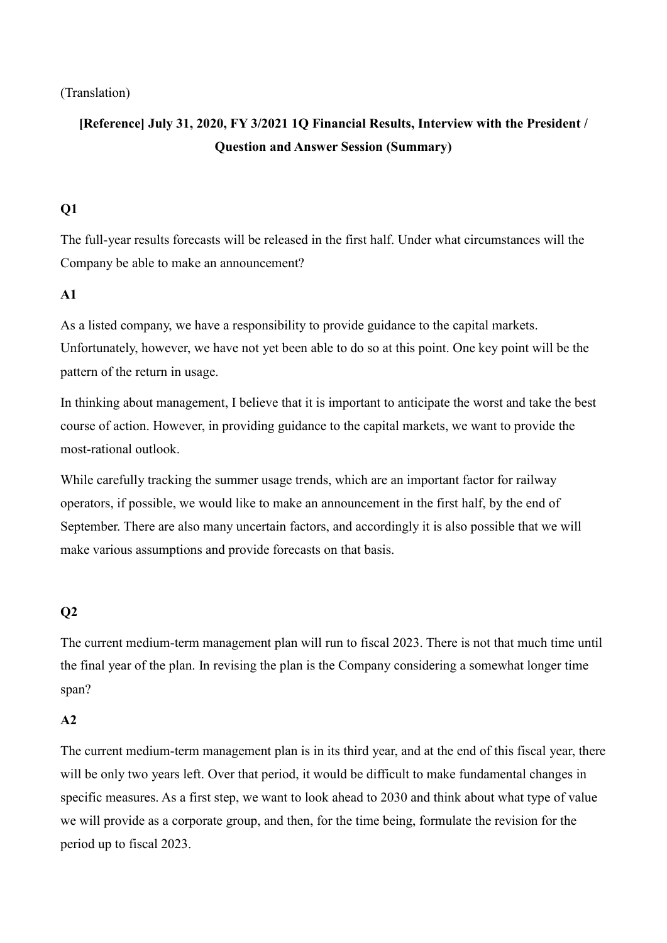(Translation)

# **[Reference] July 31, 2020, FY 3/2021 1Q Financial Results, Interview with the President / Question and Answer Session (Summary)**

# **Q1**

The full-year results forecasts will be released in the first half. Under what circumstances will the Company be able to make an announcement?

## **A1**

As a listed company, we have a responsibility to provide guidance to the capital markets. Unfortunately, however, we have not yet been able to do so at this point. One key point will be the pattern of the return in usage.

In thinking about management, I believe that it is important to anticipate the worst and take the best course of action. However, in providing guidance to the capital markets, we want to provide the most-rational outlook.

While carefully tracking the summer usage trends, which are an important factor for railway operators, if possible, we would like to make an announcement in the first half, by the end of September. There are also many uncertain factors, and accordingly it is also possible that we will make various assumptions and provide forecasts on that basis.

# **Q2**

The current medium-term management plan will run to fiscal 2023. There is not that much time until the final year of the plan. In revising the plan is the Company considering a somewhat longer time span?

## **A2**

The current medium-term management plan is in its third year, and at the end of this fiscal year, there will be only two years left. Over that period, it would be difficult to make fundamental changes in specific measures. As a first step, we want to look ahead to 2030 and think about what type of value we will provide as a corporate group, and then, for the time being, formulate the revision for the period up to fiscal 2023.